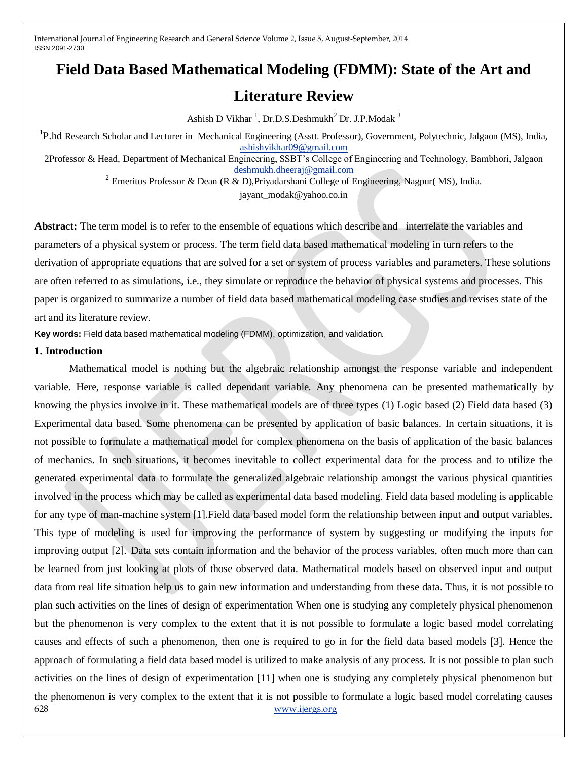# **Field Data Based Mathematical Modeling (FDMM): State of the Art and**

# **Literature Review**

Ashish D Vikhar<sup>1</sup>, Dr.D.S.Deshmukh<sup>2</sup> Dr. J.P.Modak<sup>3</sup>

<sup>1</sup>P.hd Research Scholar and Lecturer in Mechanical Engineering (Asstt. Professor), Government, Polytechnic, Jalgaon (MS), India, [ashishvikhar09@gmail.com](mailto:ashishvikhar09@gmail.com)

2Professor & Head, Department of Mechanical Engineering, SSBT's College of Engineering and Technology, Bambhori, Jalgaon [deshmukh.dheeraj@gmail.com](mailto:deshmukh.dheeraj@gmail.com)

<sup>2</sup> Emeritus Professor & Dean (R & D), Priyadarshani College of Engineering, Nagpur( MS), India.

[jayant\\_modak@yahoo.co.in](mailto:jayant_modak@yahoo.co.in)

**Abstract:** The term model is to refer to the ensemble of equations which describe and interrelate the variables and parameters of a physical system or process. The term field data based mathematical modeling in turn refers to the derivation of appropriate equations that are solved for a set or system of process variables and parameters. These solutions are often referred to as simulations, i.e., they simulate or reproduce the behavior of physical systems and processes. This paper is organized to summarize a number of field data based mathematical modeling case studies and revises state of the art and its literature review.

**Key words:** Field data based mathematical modeling (FDMM), optimization, and validation*.*

## **1. Introduction**

628 [www.ijergs.org](http://www.ijergs.org/) Mathematical model is nothing but the algebraic relationship amongst the response variable and independent variable. Here, response variable is called dependant variable. Any phenomena can be presented mathematically by knowing the physics involve in it. These mathematical models are of three types (1) Logic based (2) Field data based (3) Experimental data based. Some phenomena can be presented by application of basic balances. In certain situations, it is not possible to formulate a mathematical model for complex phenomena on the basis of application of the basic balances of mechanics. In such situations, it becomes inevitable to collect experimental data for the process and to utilize the generated experimental data to formulate the generalized algebraic relationship amongst the various physical quantities involved in the process which may be called as experimental data based modeling. Field data based modeling is applicable for any type of man-machine system [1].Field data based model form the relationship between input and output variables. This type of modeling is used for improving the performance of system by suggesting or modifying the inputs for improving output [2]. Data sets contain information and the behavior of the process variables, often much more than can be learned from just looking at plots of those observed data. Mathematical models based on observed input and output data from real life situation help us to gain new information and understanding from these data. Thus, it is not possible to plan such activities on the lines of design of experimentation When one is studying any completely physical phenomenon but the phenomenon is very complex to the extent that it is not possible to formulate a logic based model correlating causes and effects of such a phenomenon, then one is required to go in for the field data based models [3]. Hence the approach of formulating a field data based model is utilized to make analysis of any process. It is not possible to plan such activities on the lines of design of experimentation [11] when one is studying any completely physical phenomenon but the phenomenon is very complex to the extent that it is not possible to formulate a logic based model correlating causes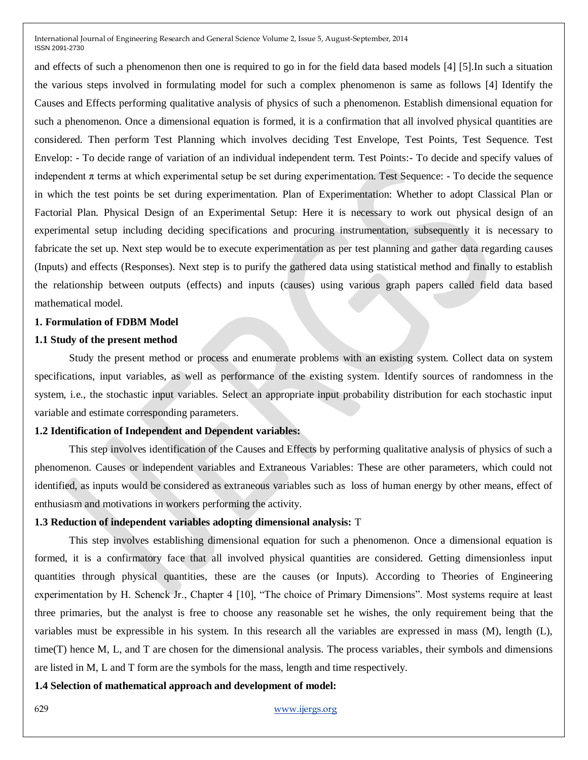and effects of such a phenomenon then one is required to go in for the field data based models [4] [5].In such a situation the various steps involved in formulating model for such a complex phenomenon is same as follows [4] Identify the Causes and Effects performing qualitative analysis of physics of such a phenomenon. Establish dimensional equation for such a phenomenon. Once a dimensional equation is formed, it is a confirmation that all involved physical quantities are considered. Then perform Test Planning which involves deciding Test Envelope, Test Points, Test Sequence. Test Envelop: - To decide range of variation of an individual independent term. Test Points:- To decide and specify values of independent  $\pi$  terms at which experimental setup be set during experimentation. Test Sequence:  $\overline{\phantom{a}}$  To decide the sequence in which the test points be set during experimentation. Plan of Experimentation: Whether to adopt Classical Plan or Factorial Plan. Physical Design of an Experimental Setup: Here it is necessary to work out physical design of an experimental setup including deciding specifications and procuring instrumentation, subsequently it is necessary to fabricate the set up. Next step would be to execute experimentation as per test planning and gather data regarding causes (Inputs) and effects (Responses). Next step is to purify the gathered data using statistical method and finally to establish the relationship between outputs (effects) and inputs (causes) using various graph papers called field data based mathematical model.

# **1. Formulation of FDBM Model**

# **1.1 Study of the present method**

Study the present method or process and enumerate problems with an existing system. Collect data on system specifications, input variables, as well as performance of the existing system. Identify sources of randomness in the system, i.e., the stochastic input variables. Select an appropriate input probability distribution for each stochastic input variable and estimate corresponding parameters.

#### **1.2 Identification of Independent and Dependent variables:**

This step involves identification of the Causes and Effects by performing qualitative analysis of physics of such a phenomenon. Causes or independent variables and Extraneous Variables: These are other parameters, which could not identified, as inputs would be considered as extraneous variables such as loss of human energy by other means, effect of enthusiasm and motivations in workers performing the activity.

#### **1.3 Reduction of independent variables adopting dimensional analysis:** T

This step involves establishing dimensional equation for such a phenomenon. Once a dimensional equation is formed, it is a confirmatory face that all involved physical quantities are considered. Getting dimensionless input quantities through physical quantities, these are the causes (or Inputs). According to Theories of Engineering experimentation by H. Schenck Jr., Chapter 4 [10], "The choice of Primary Dimensions". Most systems require at least three primaries, but the analyst is free to choose any reasonable set he wishes, the only requirement being that the variables must be expressible in his system. In this research all the variables are expressed in mass (M), length (L), time(T) hence M, L, and T are chosen for the dimensional analysis. The process variables, their symbols and dimensions are listed in M, L and T form are the symbols for the mass, length and time respectively.

**1.4 Selection of mathematical approach and development of model:**

629 [www.ijergs.org](http://www.ijergs.org/)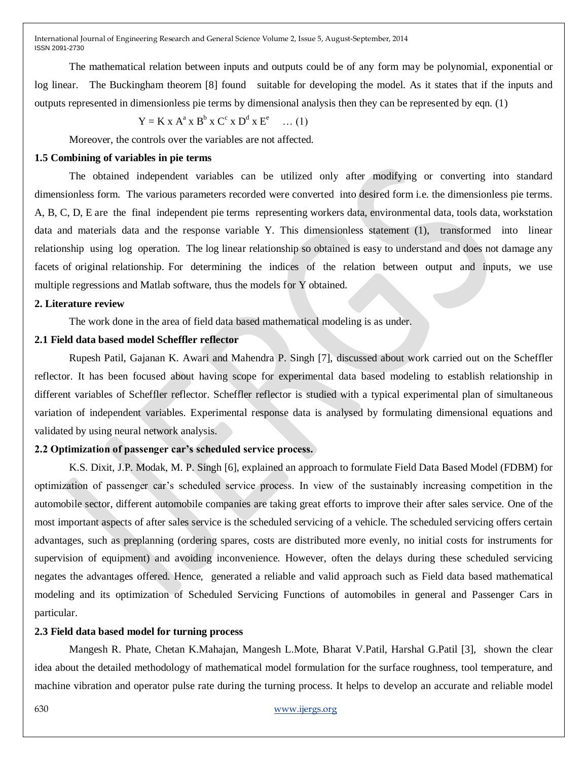The mathematical relation between inputs and outputs could be of any form may be polynomial, exponential or log linear. The Buckingham theorem [8] found suitable for developing the model. As it states that if the inputs and outputs represented in dimensionless pie terms by dimensional analysis then they can be represented by eqn. (1)

$$
Y = K x Aa x Bb x Cc x Dd x Ee \dots (1)
$$

Moreover, the controls over the variables are not affected.

# **1.5 Combining of variables in pie terms**

The obtained independent variables can be utilized only after modifying or converting into standard dimensionless form. The various parameters recorded were converted into desired form i.e. the dimensionless pie terms. A, B, C, D, E are the final independent pie terms representing workers data, environmental data, tools data, workstation data and materials data and the response variable Y. This dimensionless statement (1), transformed into linear relationship using log operation. The log linear relationship so obtained is easy to understand and does not damage any facets of original relationship. For determining the indices of the relation between output and inputs, we use multiple regressions and Matlab software, thus the models for Y obtained.

#### **2. Literature review**

The work done in the area of field data based mathematical modeling is as under.

#### **2.1 Field data based model Scheffler reflector**

Rupesh Patil, Gajanan K. Awari and Mahendra P. Singh [7], discussed about work carried out on the Scheffler reflector. It has been focused about having scope for experimental data based modeling to establish relationship in different variables of Scheffler reflector. Scheffler reflector is studied with a typical experimental plan of simultaneous variation of independent variables. Experimental response data is analysed by formulating dimensional equations and validated by using neural network analysis.

#### **2.2 Optimization of passenger car's scheduled service process.**

K.S. Dixit, J.P. Modak, M. P. Singh [6], explained an approach to formulate Field Data Based Model (FDBM) for optimization of passenger car's scheduled service process. In view of the sustainably increasing competition in the automobile sector, different automobile companies are taking great efforts to improve their after sales service. One of the most important aspects of after sales service is the scheduled servicing of a vehicle. The scheduled servicing offers certain advantages, such as preplanning (ordering spares, costs are distributed more evenly, no initial costs for instruments for supervision of equipment) and avoiding inconvenience. However, often the delays during these scheduled servicing negates the advantages offered. Hence, generated a reliable and valid approach such as Field data based mathematical modeling and its optimization of Scheduled Servicing Functions of automobiles in general and Passenger Cars in particular.

#### **2.3 Field data based model for turning process**

Mangesh R. Phate, Chetan K.Mahajan, Mangesh L.Mote, Bharat V.Patil, Harshal G.Patil [3], shown the clear idea about the detailed methodology of mathematical model formulation for the surface roughness, tool temperature, and machine vibration and operator pulse rate during the turning process. It helps to develop an accurate and reliable model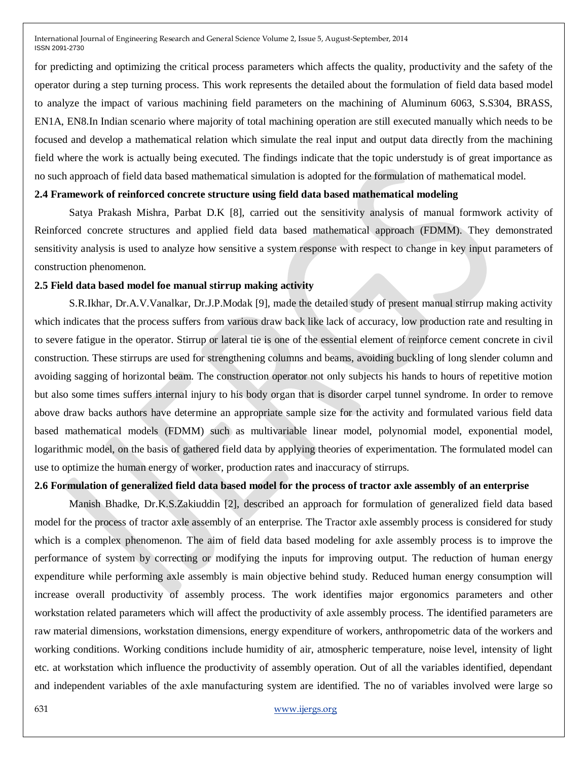for predicting and optimizing the critical process parameters which affects the quality, productivity and the safety of the operator during a step turning process. This work represents the detailed about the formulation of field data based model to analyze the impact of various machining field parameters on the machining of Aluminum 6063, S.S304, BRASS, EN1A, EN8.In Indian scenario where majority of total machining operation are still executed manually which needs to be focused and develop a mathematical relation which simulate the real input and output data directly from the machining field where the work is actually being executed. The findings indicate that the topic understudy is of great importance as no such approach of field data based mathematical simulation is adopted for the formulation of mathematical model.

#### **2.4 Framework of reinforced concrete structure using field data based mathematical modeling**

Satya Prakash Mishra, Parbat D.K [8], carried out the sensitivity analysis of manual formwork activity of Reinforced concrete structures and applied field data based mathematical approach (FDMM). They demonstrated sensitivity analysis is used to analyze how sensitive a system response with respect to change in key input parameters of construction phenomenon.

#### **2.5 Field data based model foe manual stirrup making activity**

S.R.Ikhar, Dr.A.V.Vanalkar, Dr.J.P.Modak [9], made the detailed study of present manual stirrup making activity which indicates that the process suffers from various draw back like lack of accuracy, low production rate and resulting in to severe fatigue in the operator. Stirrup or lateral tie is one of the essential element of reinforce cement concrete in civil construction. These stirrups are used for strengthening columns and beams, avoiding buckling of long slender column and avoiding sagging of horizontal beam. The construction operator not only subjects his hands to hours of repetitive motion but also some times suffers internal injury to his body organ that is disorder carpel tunnel syndrome. In order to remove above draw backs authors have determine an appropriate sample size for the activity and formulated various field data based mathematical models (FDMM) such as multivariable linear model, polynomial model, exponential model, logarithmic model, on the basis of gathered field data by applying theories of experimentation. The formulated model can use to optimize the human energy of worker, production rates and inaccuracy of stirrups.

#### **2.6 Formulation of generalized field data based model for the process of tractor axle assembly of an enterprise**

Manish Bhadke, Dr.K.S.Zakiuddin [2], described an approach for formulation of generalized field data based model for the process of tractor axle assembly of an enterprise. The Tractor axle assembly process is considered for study which is a complex phenomenon. The aim of field data based modeling for axle assembly process is to improve the performance of system by correcting or modifying the inputs for improving output. The reduction of human energy expenditure while performing axle assembly is main objective behind study. Reduced human energy consumption will increase overall productivity of assembly process. The work identifies major ergonomics parameters and other workstation related parameters which will affect the productivity of axle assembly process. The identified parameters are raw material dimensions, workstation dimensions, energy expenditure of workers, anthropometric data of the workers and working conditions. Working conditions include humidity of air, atmospheric temperature, noise level, intensity of light etc. at workstation which influence the productivity of assembly operation. Out of all the variables identified, dependant and independent variables of the axle manufacturing system are identified. The no of variables involved were large so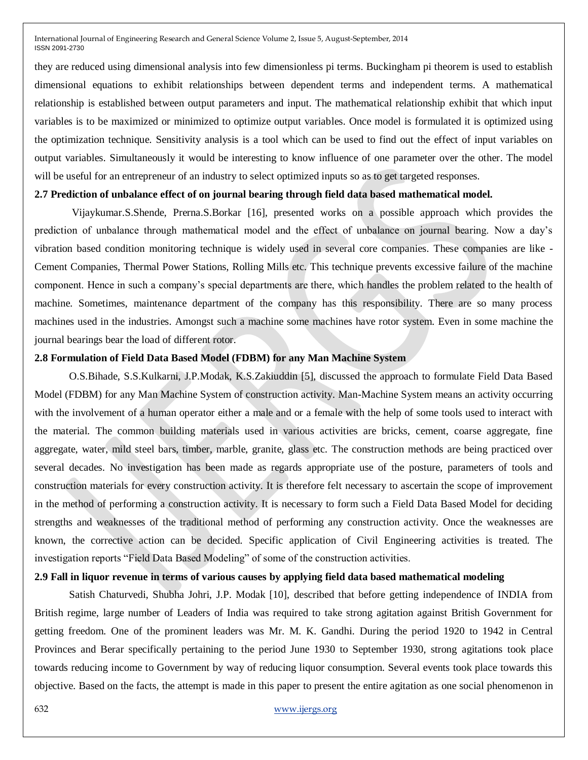they are reduced using dimensional analysis into few dimensionless pi terms. Buckingham pi theorem is used to establish dimensional equations to exhibit relationships between dependent terms and independent terms. A mathematical relationship is established between output parameters and input. The mathematical relationship exhibit that which input variables is to be maximized or minimized to optimize output variables. Once model is formulated it is optimized using the optimization technique. Sensitivity analysis is a tool which can be used to find out the effect of input variables on output variables. Simultaneously it would be interesting to know influence of one parameter over the other. The model will be useful for an entrepreneur of an industry to select optimized inputs so as to get targeted responses.

#### **2.7 Prediction of unbalance effect of on journal bearing through field data based mathematical model.**

Vijaykumar.S.Shende, Prerna.S.Borkar [16], presented works on a possible approach which provides the prediction of unbalance through mathematical model and the effect of unbalance on journal bearing. Now a day's vibration based condition monitoring technique is widely used in several core companies. These companies are like - Cement Companies, Thermal Power Stations, Rolling Mills etc. This technique prevents excessive failure of the machine component. Hence in such a company's special departments are there, which handles the problem related to the health of machine. Sometimes, maintenance department of the company has this responsibility. There are so many process machines used in the industries. Amongst such a machine some machines have rotor system. Even in some machine the journal bearings bear the load of different rotor.

#### **2.8 Formulation of Field Data Based Model (FDBM) for any Man Machine System**

O.S.Bihade, S.S.Kulkarni, J.P.Modak, K.S.Zakiuddin [5], discussed the approach to formulate Field Data Based Model (FDBM) for any Man Machine System of construction activity. Man-Machine System means an activity occurring with the involvement of a human operator either a male and or a female with the help of some tools used to interact with the material. The common building materials used in various activities are bricks, cement, coarse aggregate, fine aggregate, water, mild steel bars, timber, marble, granite, glass etc. The construction methods are being practiced over several decades. No investigation has been made as regards appropriate use of the posture, parameters of tools and construction materials for every construction activity. It is therefore felt necessary to ascertain the scope of improvement in the method of performing a construction activity. It is necessary to form such a Field Data Based Model for deciding strengths and weaknesses of the traditional method of performing any construction activity. Once the weaknesses are known, the corrective action can be decided. Specific application of Civil Engineering activities is treated. The investigation reports "Field Data Based Modeling" of some of the construction activities.

#### **2.9 Fall in liquor revenue in terms of various causes by applying field data based mathematical modeling**

Satish Chaturvedi, Shubha Johri, J.P. Modak [10], described that before getting independence of INDIA from British regime, large number of Leaders of India was required to take strong agitation against British Government for getting freedom. One of the prominent leaders was Mr. M. K. Gandhi. During the period 1920 to 1942 in Central Provinces and Berar specifically pertaining to the period June 1930 to September 1930, strong agitations took place towards reducing income to Government by way of reducing liquor consumption. Several events took place towards this objective. Based on the facts, the attempt is made in this paper to present the entire agitation as one social phenomenon in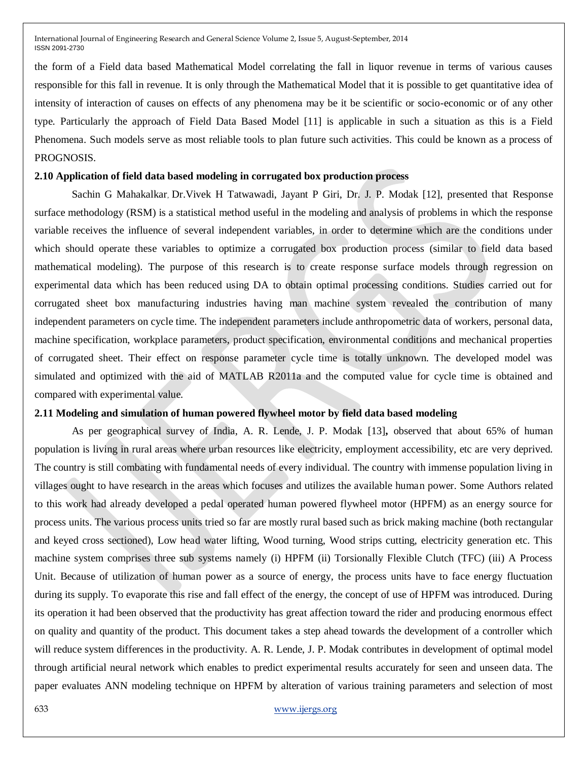the form of a Field data based Mathematical Model correlating the fall in liquor revenue in terms of various causes responsible for this fall in revenue. It is only through the Mathematical Model that it is possible to get quantitative idea of intensity of interaction of causes on effects of any phenomena may be it be scientific or socio-economic or of any other type. Particularly the approach of Field Data Based Model [11] is applicable in such a situation as this is a Field Phenomena. Such models serve as most reliable tools to plan future such activities. This could be known as a process of PROGNOSIS.

#### **2.10 Application of field data based modeling in corrugated box production process**

Sachin G Mahakalkar, Dr.Vivek H Tatwawadi, Jayant P Giri, Dr. J. P. Modak [12], presented that Response surface methodology (RSM) is a statistical method useful in the modeling and analysis of problems in which the response variable receives the influence of several independent variables, in order to determine which are the conditions under which should operate these variables to optimize a corrugated box production process (similar to field data based mathematical modeling). The purpose of this research is to create response surface models through regression on experimental data which has been reduced using DA to obtain optimal processing conditions. Studies carried out for corrugated sheet box manufacturing industries having man machine system revealed the contribution of many independent parameters on cycle time. The independent parameters include anthropometric data of workers, personal data, machine specification, workplace parameters, product specification, environmental conditions and mechanical properties of corrugated sheet. Their effect on response parameter cycle time is totally unknown. The developed model was simulated and optimized with the aid of MATLAB R2011a and the computed value for cycle time is obtained and compared with experimental value.

#### **2.11 Modeling and simulation of human powered flywheel motor by field data based modeling**

As per geographical survey of India, A. R. Lende, J. P. Modak [13]**,** observed that about 65% of human population is living in rural areas where urban resources like electricity, employment accessibility, etc are very deprived. The country is still combating with fundamental needs of every individual. The country with immense population living in villages ought to have research in the areas which focuses and utilizes the available human power. Some Authors related to this work had already developed a pedal operated human powered flywheel motor (HPFM) as an energy source for process units. The various process units tried so far are mostly rural based such as brick making machine (both rectangular and keyed cross sectioned), Low head water lifting, Wood turning, Wood strips cutting, electricity generation etc. This machine system comprises three sub systems namely (i) HPFM (ii) Torsionally Flexible Clutch (TFC) (iii) A Process Unit. Because of utilization of human power as a source of energy, the process units have to face energy fluctuation during its supply. To evaporate this rise and fall effect of the energy, the concept of use of HPFM was introduced. During its operation it had been observed that the productivity has great affection toward the rider and producing enormous effect on quality and quantity of the product. This document takes a step ahead towards the development of a controller which will reduce system differences in the productivity. A. R. Lende, J. P. Modak contributes in development of optimal model through artificial neural network which enables to predict experimental results accurately for seen and unseen data. The paper evaluates ANN modeling technique on HPFM by alteration of various training parameters and selection of most

#### 633 [www.ijergs.org](http://www.ijergs.org/)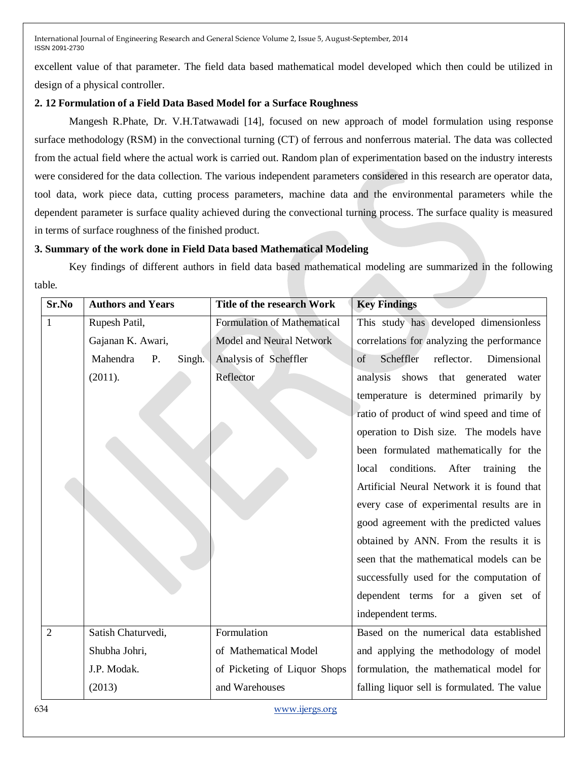excellent value of that parameter. The field data based mathematical model developed which then could be utilized in design of a physical controller.

# **2. 12 Formulation of a Field Data Based Model for a Surface Roughness**

Mangesh R.Phate, Dr. V.H.Tatwawadi [14], focused on new approach of model formulation using response surface methodology (RSM) in the convectional turning (CT) of ferrous and nonferrous material. The data was collected from the actual field where the actual work is carried out. Random plan of experimentation based on the industry interests were considered for the data collection. The various independent parameters considered in this research are operator data, tool data, work piece data, cutting process parameters, machine data and the environmental parameters while the dependent parameter is surface quality achieved during the convectional turning process. The surface quality is measured in terms of surface roughness of the finished product.

# **3. Summary of the work done in Field Data based Mathematical Modeling**

Key findings of different authors in field data based mathematical modeling are summarized in the following table.

| Sr.No          | <b>Authors and Years</b> | Title of the research Work         | <b>Key Findings</b>                              |
|----------------|--------------------------|------------------------------------|--------------------------------------------------|
| 1              | Rupesh Patil,            | <b>Formulation of Mathematical</b> | This study has developed dimensionless           |
|                | Gajanan K. Awari,        | Model and Neural Network           | correlations for analyzing the performance       |
|                | Mahendra<br>P.<br>Singh. | Analysis of Scheffler              | Scheffler<br>Dimensional<br>of<br>reflector.     |
|                | (2011).                  | Reflector                          | analysis<br>shows<br>that generated water        |
|                |                          |                                    | temperature is determined primarily by           |
|                |                          |                                    | ratio of product of wind speed and time of       |
|                |                          |                                    | operation to Dish size. The models have          |
|                |                          |                                    | been formulated mathematically for the           |
|                |                          |                                    | conditions.<br>After<br>training<br>local<br>the |
|                |                          |                                    | Artificial Neural Network it is found that       |
|                |                          |                                    | every case of experimental results are in        |
|                |                          |                                    | good agreement with the predicted values         |
|                |                          |                                    | obtained by ANN. From the results it is          |
|                |                          |                                    | seen that the mathematical models can be         |
|                |                          |                                    | successfully used for the computation of         |
|                |                          |                                    | dependent terms for a given set of               |
|                |                          |                                    | independent terms.                               |
| $\overline{2}$ | Satish Chaturvedi,       | Formulation                        | Based on the numerical data established          |
|                | Shubha Johri,            | of Mathematical Model              | and applying the methodology of model            |
|                | J.P. Modak.              | of Picketing of Liquor Shops       | formulation, the mathematical model for          |
|                | (2013)                   | and Warehouses                     | falling liquor sell is formulated. The value     |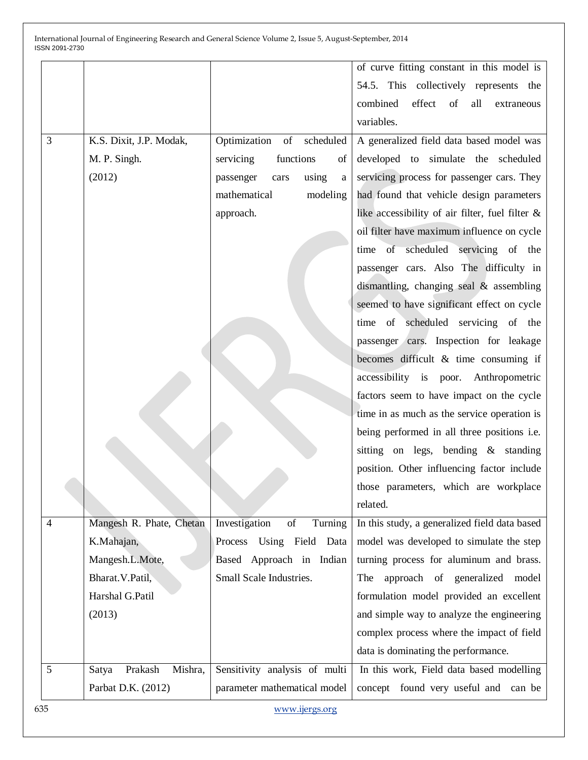|                |                             |                                                                                                                                | of curve fitting constant in this model is         |
|----------------|-----------------------------|--------------------------------------------------------------------------------------------------------------------------------|----------------------------------------------------|
|                |                             |                                                                                                                                | 54.5. This collectively represents the             |
|                |                             |                                                                                                                                | effect of<br>combined<br>all<br>extraneous         |
|                |                             |                                                                                                                                | variables.                                         |
| 3              | K.S. Dixit, J.P. Modak,     | Optimization of scheduled                                                                                                      | A generalized field data based model was           |
|                | M. P. Singh.                | functions<br>servicing<br>of                                                                                                   | developed to simulate the scheduled                |
|                | (2012)                      | using<br>passenger<br>cars<br>$\mathbf a$                                                                                      | servicing process for passenger cars. They         |
|                |                             | mathematical<br>modeling                                                                                                       | had found that vehicle design parameters           |
|                |                             | approach.                                                                                                                      | like accessibility of air filter, fuel filter $\&$ |
|                |                             |                                                                                                                                | oil filter have maximum influence on cycle         |
|                |                             |                                                                                                                                | time of scheduled servicing of the                 |
|                |                             |                                                                                                                                | passenger cars. Also The difficulty in             |
|                |                             |                                                                                                                                | dismantling, changing seal & assembling            |
|                |                             |                                                                                                                                | seemed to have significant effect on cycle         |
|                |                             |                                                                                                                                | time of scheduled servicing of the                 |
|                |                             |                                                                                                                                | passenger cars. Inspection for leakage             |
|                |                             |                                                                                                                                | becomes difficult & time consuming if              |
|                |                             |                                                                                                                                | accessibility is poor. Anthropometric              |
|                |                             |                                                                                                                                | factors seem to have impact on the cycle           |
|                |                             |                                                                                                                                | time in as much as the service operation is        |
|                |                             |                                                                                                                                | being performed in all three positions i.e.        |
|                |                             |                                                                                                                                | sitting on legs, bending & standing                |
|                |                             |                                                                                                                                | position. Other influencing factor include         |
|                |                             |                                                                                                                                | those parameters, which are workplace              |
|                |                             |                                                                                                                                | related.                                           |
| $\overline{4}$ | Mangesh R. Phate, Chetan    | Investigation<br>$% \left( \left( \mathcal{A},\mathcal{A}\right) \right) =\left( \mathcal{A},\mathcal{A}\right)$ of<br>Turning | In this study, a generalized field data based      |
|                | K.Mahajan,                  | Process<br>Using Field<br>Data                                                                                                 | model was developed to simulate the step           |
|                | Mangesh.L.Mote,             | Based Approach in Indian                                                                                                       | turning process for aluminum and brass.            |
|                | Bharat. V. Patil,           | Small Scale Industries.                                                                                                        | approach of generalized model<br>The               |
|                | Harshal G.Patil             |                                                                                                                                | formulation model provided an excellent            |
|                | (2013)                      |                                                                                                                                | and simple way to analyze the engineering          |
|                |                             |                                                                                                                                | complex process where the impact of field          |
|                |                             |                                                                                                                                | data is dominating the performance.                |
| 5              | Mishra,<br>Satya<br>Prakash | Sensitivity analysis of multi                                                                                                  | In this work, Field data based modelling           |
|                | Parbat D.K. (2012)          | parameter mathematical model                                                                                                   | concept found very useful and can be               |
| 635            |                             | www.ijergs.org                                                                                                                 |                                                    |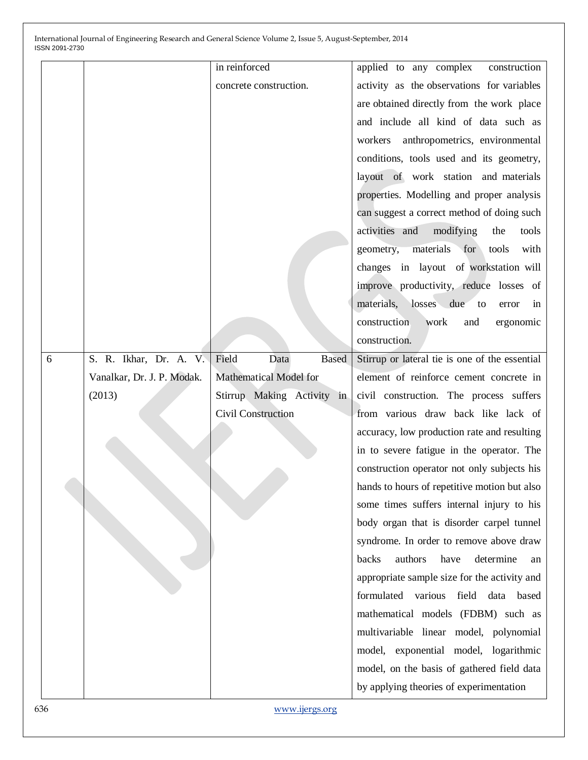|   |                            | in reinforced                 | applied to any complex<br>construction         |
|---|----------------------------|-------------------------------|------------------------------------------------|
|   |                            | concrete construction.        | activity as the observations for variables     |
|   |                            |                               | are obtained directly from the work place      |
|   |                            |                               | and include all kind of data such as           |
|   |                            |                               | anthropometrics, environmental<br>workers      |
|   |                            |                               | conditions, tools used and its geometry,       |
|   |                            |                               | layout of work station and materials           |
|   |                            |                               | properties. Modelling and proper analysis      |
|   |                            |                               | can suggest a correct method of doing such     |
|   |                            |                               | activities and<br>modifying<br>the<br>tools    |
|   |                            |                               | geometry,<br>materials for<br>tools<br>with    |
|   |                            |                               | changes in layout of workstation will          |
|   |                            |                               | improve productivity, reduce losses of         |
|   |                            |                               | materials, losses due to<br>in<br>error        |
|   |                            |                               | construction<br>work<br>and<br>ergonomic       |
|   |                            |                               | construction.                                  |
| 6 | S. R. Ikhar, Dr. A. V.     | Field<br>Data<br><b>Based</b> | Stirrup or lateral tie is one of the essential |
|   | Vanalkar, Dr. J. P. Modak. | <b>Mathematical Model for</b> | element of reinforce cement concrete in        |
|   | (2013)                     | Stirrup Making Activity in    | civil construction. The process suffers        |
|   |                            | Civil Construction            | from various draw back like lack of            |
|   |                            |                               | accuracy, low production rate and resulting    |
|   |                            |                               | in to severe fatigue in the operator. The      |
|   |                            |                               | construction operator not only subjects his    |
|   |                            |                               | hands to hours of repetitive motion but also   |
|   |                            |                               | some times suffers internal injury to his      |
|   |                            |                               | body organ that is disorder carpel tunnel      |
|   |                            |                               | syndrome. In order to remove above draw        |
|   |                            |                               | authors<br>have<br>backs<br>determine<br>an    |
|   |                            |                               | appropriate sample size for the activity and   |
|   |                            |                               | formulated various<br>field data<br>based      |
|   |                            |                               | mathematical models (FDBM) such as             |
|   |                            |                               | multivariable linear model, polynomial         |
|   |                            |                               | model, exponential model, logarithmic          |
|   |                            |                               | model, on the basis of gathered field data     |
|   |                            |                               |                                                |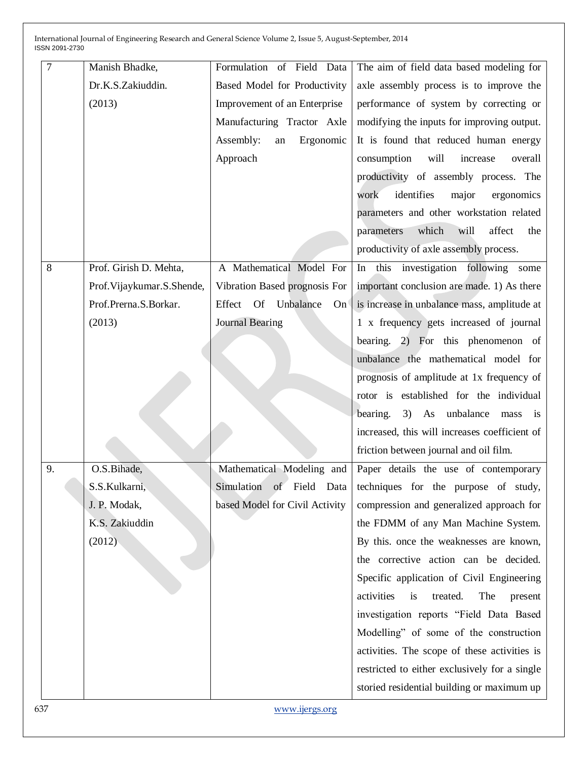| 7  | Manish Bhadke,               | Formulation of Field Data              | The aim of field data based modeling for                      |
|----|------------------------------|----------------------------------------|---------------------------------------------------------------|
|    | Dr.K.S.Zakiuddin.            | Based Model for Productivity           | axle assembly process is to improve the                       |
|    | (2013)                       | Improvement of an Enterprise           | performance of system by correcting or                        |
|    |                              | Manufacturing Tractor Axle             | modifying the inputs for improving output.                    |
|    |                              | Assembly:<br>Ergonomic<br>${\rm an}$   | It is found that reduced human energy                         |
|    |                              | Approach                               | consumption<br>will<br>increase<br>overall                    |
|    |                              |                                        | productivity of assembly process. The                         |
|    |                              |                                        | identifies<br>major<br>ergonomics<br>work                     |
|    |                              |                                        | parameters and other workstation related                      |
|    |                              |                                        | which<br>will<br>affect<br>parameters<br>the                  |
|    |                              |                                        | productivity of axle assembly process.                        |
| 8  | Prof. Girish D. Mehta,       | A Mathematical Model For               | In this investigation following some                          |
|    | Prof. Vijaykumar. S. Shende, | Vibration Based prognosis For          | important conclusion are made. 1) As there                    |
|    | Prof.Prerna.S.Borkar.        | Effect Of Unbalance<br>On <sup>6</sup> | is increase in unbalance mass, amplitude at                   |
|    | (2013)                       | <b>Journal Bearing</b>                 | 1 x frequency gets increased of journal                       |
|    |                              |                                        | bearing. 2) For this phenomenon of                            |
|    |                              |                                        | unbalance the mathematical model for                          |
|    |                              |                                        | prognosis of amplitude at 1x frequency of                     |
|    |                              |                                        | rotor is established for the individual                       |
|    |                              |                                        | bearing.<br>3) As unbalance<br>mass<br>$\frac{1}{1}$          |
|    |                              |                                        | increased, this will increases coefficient of                 |
|    |                              |                                        | friction between journal and oil film.                        |
| 9. | O.S.Bihade,                  | Mathematical Modeling and              | Paper details the use of contemporary                         |
|    | S.S.Kulkarni,                |                                        | Simulation of Field Data techniques for the purpose of study, |
|    | J. P. Modak,                 | based Model for Civil Activity         | compression and generalized approach for                      |
|    | K.S. Zakiuddin               |                                        | the FDMM of any Man Machine System.                           |
|    | (2012)                       |                                        | By this. once the weaknesses are known,                       |
|    |                              |                                        | the corrective action can be decided.                         |
|    |                              |                                        | Specific application of Civil Engineering                     |
|    |                              |                                        | activities<br>treated.<br>The<br>is<br>present                |
|    |                              |                                        | investigation reports "Field Data Based                       |
|    |                              |                                        | Modelling" of some of the construction                        |
|    |                              |                                        | activities. The scope of these activities is                  |
|    |                              |                                        | restricted to either exclusively for a single                 |
|    |                              |                                        | storied residential building or maximum up                    |
|    |                              |                                        |                                                               |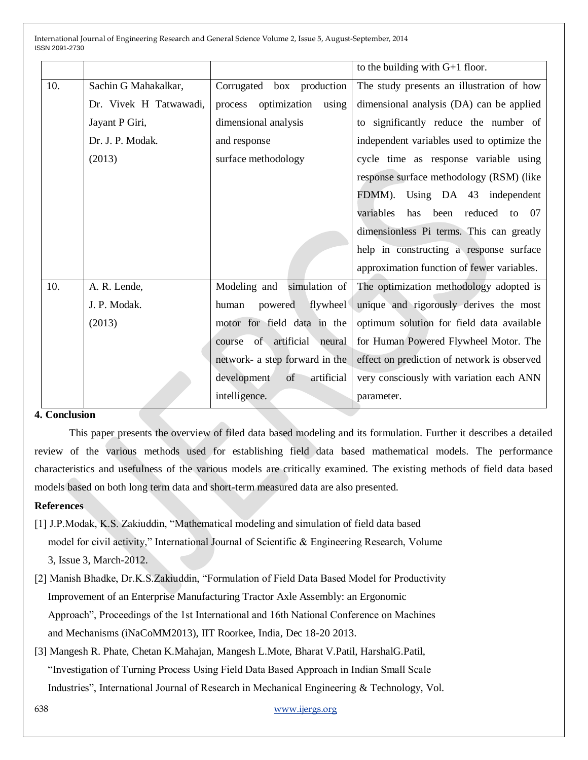|     |                        |                                 | to the building with $G+1$ floor.           |
|-----|------------------------|---------------------------------|---------------------------------------------|
| 10. | Sachin G Mahakalkar,   | Corrugated box production       | The study presents an illustration of how   |
|     | Dr. Vivek H Tatwawadi, | optimization using<br>process   | dimensional analysis (DA) can be applied    |
|     | Jayant P Giri,         | dimensional analysis            | to significantly reduce the number of       |
|     | Dr. J. P. Modak.       | and response                    | independent variables used to optimize the  |
|     | (2013)                 | surface methodology             | cycle time as response variable using       |
|     |                        |                                 | response surface methodology (RSM) (like    |
|     |                        |                                 | FDMM).<br>Using DA 43 independent           |
|     |                        |                                 | been reduced to 07<br>variables<br>has      |
|     |                        |                                 | dimensionless Pi terms. This can greatly    |
|     |                        |                                 | help in constructing a response surface     |
|     |                        |                                 | approximation function of fewer variables.  |
| 10. | A. R. Lende,           | simulation of<br>Modeling and   | The optimization methodology adopted is     |
|     | J. P. Modak.           | flywheel<br>powered<br>human    | unique and rigorously derives the most      |
|     | (2013)                 | motor for field data in the     | optimum solution for field data available   |
|     |                        | course of artificial neural     | for Human Powered Flywheel Motor. The       |
|     |                        | network- a step forward in the  | effect on prediction of network is observed |
|     |                        | artificial<br>development<br>of | very consciously with variation each ANN    |
|     |                        | intelligence.                   | parameter.                                  |

# **4. Conclusion**

This paper presents the overview of filed data based modeling and its formulation. Further it describes a detailed review of the various methods used for establishing field data based mathematical models. The performance characteristics and usefulness of the various models are critically examined. The existing methods of field data based models based on both long term data and short-term measured data are also presented.

## **References**

- [1] J.P.Modak, K.S. Zakiuddin, "Mathematical modeling and simulation of field data based model for civil activity," International Journal of Scientific & Engineering Research, Volume 3, Issue 3, March-2012.
- [2] Manish Bhadke, Dr.K.S.Zakiuddin, "Formulation of Field Data Based Model for Productivity Improvement of an Enterprise Manufacturing Tractor Axle Assembly: an Ergonomic Approach", Proceedings of the 1st International and 16th National Conference on Machines and Mechanisms (iNaCoMM2013), IIT Roorkee, India, Dec 18-20 2013.
- [3] Mangesh R. Phate, Chetan K.Mahajan, Mangesh L.Mote, Bharat V.Patil, HarshalG.Patil, "Investigation of Turning Process Using Field Data Based Approach in Indian Small Scale Industries", International Journal of Research in Mechanical Engineering & Technology, Vol.

638 [www.ijergs.org](http://www.ijergs.org/)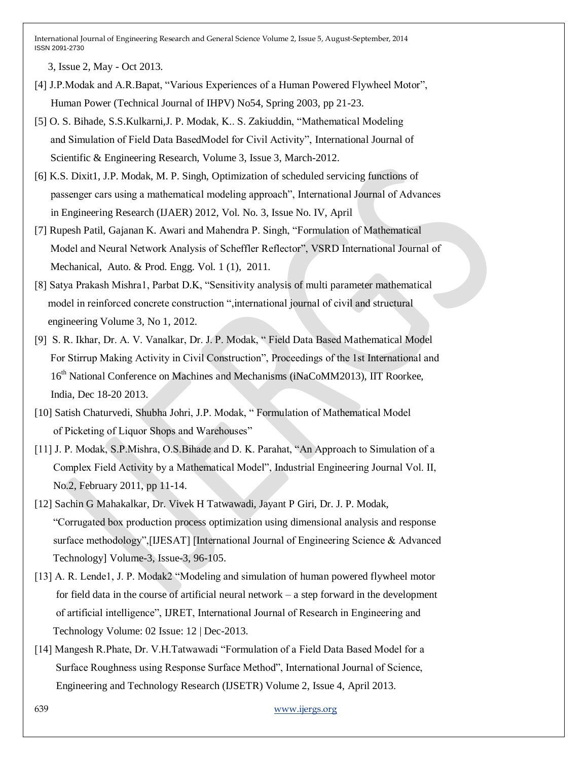3, Issue 2, May - Oct 2013.

- [4] J.P.Modak and A.R.Bapat, "Various Experiences of a Human Powered Flywheel Motor", Human Power (Technical Journal of IHPV) No54, Spring 2003, pp 21-23.
- [5] O. S. Bihade, S.S.Kulkarni,J. P. Modak, K.. S. Zakiuddin, "Mathematical Modeling and Simulation of Field Data BasedModel for Civil Activity", International Journal of Scientific & Engineering Research, Volume 3, Issue 3, March-2012.
- [6] K.S. Dixit1, J.P. Modak, M. P. Singh, Optimization of scheduled servicing functions of passenger cars using a mathematical modeling approach", International Journal of Advances in Engineering Research (IJAER) 2012, Vol. No. 3, Issue No. IV, April
- [7] Rupesh Patil, Gajanan K. Awari and Mahendra P. Singh, "Formulation of Mathematical Model and Neural Network Analysis of Scheffler Reflector", VSRD International Journal of Mechanical, Auto. & Prod. Engg. Vol. 1 (1), 2011.
- [8] Satya Prakash Mishra1, Parbat D.K, "Sensitivity analysis of multi parameter mathematical model in reinforced concrete construction ",international journal of civil and structural engineering Volume 3, No 1, 2012.
- [9] S. R. Ikhar, Dr. A. V. Vanalkar, Dr. J. P. Modak, " Field Data Based Mathematical Model For Stirrup Making Activity in Civil Construction", Proceedings of the 1st International and 16<sup>th</sup> National Conference on Machines and Mechanisms (iNaCoMM2013), IIT Roorkee, India, Dec 18-20 2013.
- [10] Satish Chaturvedi, Shubha Johri, J.P. Modak, " Formulation of Mathematical Model of Picketing of Liquor Shops and Warehouses"
- [11] J. P. Modak, S.P.Mishra, O.S.Bihade and D. K. Parahat, "An Approach to Simulation of a Complex Field Activity by a Mathematical Model", Industrial Engineering Journal Vol. II, No.2, February 2011, pp 11-14.
- [12] Sachin G Mahakalkar, Dr. Vivek H Tatwawadi, Jayant P Giri, Dr. J. P. Modak, "Corrugated box production process optimization using dimensional analysis and response surface methodology",[IJESAT] [International Journal of Engineering Science & Advanced Technology] Volume-3, Issue-3, 96-105.
- [13] A. R. Lende1, J. P. Modak2 "Modeling and simulation of human powered flywheel motor for field data in the course of artificial neural network – a step forward in the development of artificial intelligence", IJRET, International Journal of Research in Engineering and Technology Volume: 02 Issue: 12 | Dec-2013.
- [14] Mangesh R.Phate, Dr. V.H.Tatwawadi "Formulation of a Field Data Based Model for a Surface Roughness using Response Surface Method", International Journal of Science, Engineering and Technology Research (IJSETR) Volume 2, Issue 4, April 2013.